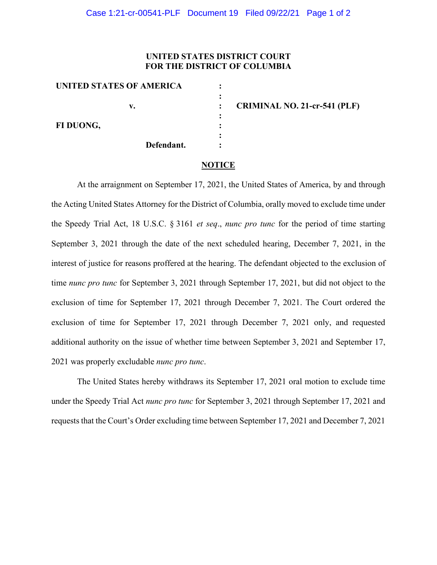## **UNITED STATES DISTRICT COURT FOR THE DISTRICT OF COLUMBIA**

| UNITED STATES OF AMERICA |                                     |
|--------------------------|-------------------------------------|
| v.                       | <b>CRIMINAL NO. 21-cr-541 (PLF)</b> |
| FI DUONG,                |                                     |
|                          |                                     |
| Defendant.               |                                     |

## **NOTICE**

At the arraignment on September 17, 2021, the United States of America, by and through the Acting United States Attorney for the District of Columbia, orally moved to exclude time under the Speedy Trial Act, 18 U.S.C. § 3161 *et seq*., *nunc pro tunc* for the period of time starting September 3, 2021 through the date of the next scheduled hearing, December 7, 2021, in the interest of justice for reasons proffered at the hearing. The defendant objected to the exclusion of time *nunc pro tunc* for September 3, 2021 through September 17, 2021, but did not object to the exclusion of time for September 17, 2021 through December 7, 2021. The Court ordered the exclusion of time for September 17, 2021 through December 7, 2021 only, and requested additional authority on the issue of whether time between September 3, 2021 and September 17, 2021 was properly excludable *nunc pro tunc*.

The United States hereby withdraws its September 17, 2021 oral motion to exclude time under the Speedy Trial Act *nunc pro tunc* for September 3, 2021 through September 17, 2021 and requests that the Court's Order excluding time between September 17, 2021 and December 7, 2021